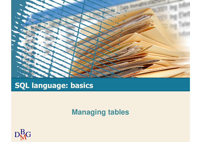

### **SQL language: basics**

#### **Managing tables**

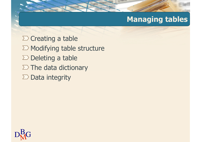### **Managing tables**

 $\Sigma$  Creating a table  $\Sigma$  Modifying table structure  $\Sigma$  Deleting a table  $\Sigma$  The data dictionary  $\Sigma$  Data integrity

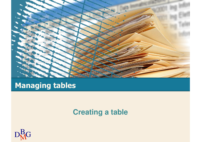

### **Managing tables**

#### **Creating a table**

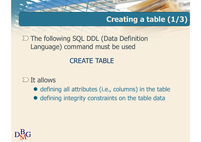### **Creating a table (1/3)**

 $\Sigma$  The following SQL DDL (Data Definition Language) command must be used

### CREATE TABLE

#### $\sum$  It allows

- defining all attributes (i.e., columns) in the table
- defining integrity constraints on the table data

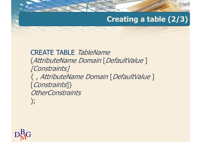### **Creating a table (2/3)**

CREATE TABLE TableName (AttributeName Domain [DefaultValue ][Constraints] { , AttributeName Domain [DefaultValue ] [Constraints]} **OtherConstraints** );

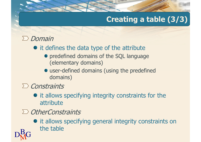# **Creating a table (3/3)**

### $\sum$  Domain

- it defines the data type of the attribute
	- **•** predefined domains of the SQL language (elementary domains)
	- user-defined domains (using the predefined domains)
- $\sum$  Constraints

 $\mathrm{D}^\mathrm{B}_\mathrm{M}$ G

- $\bullet$  it allows specifying integrity constraints for the attribute
- $\sum$  OtherConstraints
	- $\bullet$  it allows specifying general integrity constraints on the table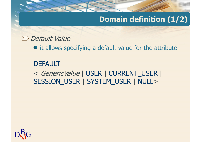### **Domain definition (1/2)**

#### $\sum$  Default Value

• it allows specifying a default value for the attribute

#### **DEFAULT**

< GenericValue | USER | CURRENT\_USER <sup>|</sup> SESSION\_USER | SYSTEM\_USER | NULL>

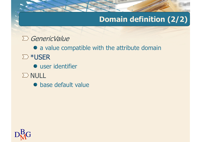### **Domain definition (2/2)**

#### $\sum$  GenericValue

 a value compatible with the attribute domain∑ \*USER

user identifier

- $\sum$  NULL
	- **•** base default value

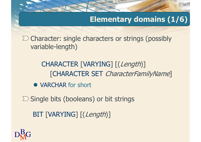### **Elementary domains (1/6)**

 $\sum$  Character: single characters or strings (possibly variable-length)

# CHARACTER [VARYING] [(*Length*)] [CHARACTER SET *CharacterFamilyName*]

VARCHAR for short

 $\Sigma$  Single bits (booleans) or bit strings

BIT [VARYING] [(Length)]

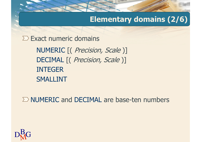### **Elementary domains (2/6)**

NUMERIC [( *Precision, Scale* )] DECIMAL [( *Precision, Scale* )] INTEGER SMALLINT $\Sigma$  Exact numeric domains

NUMERIC and DECIMAL are base-ten numbers

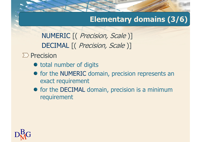### **Elementary domains (3/6)**

NUMERIC [( *Precision, Scale* )] DECIMAL [( *Precision, Scale* )]

 $\sum$  Precision

- total number of digits
- for the NUMERIC domain, precision represents an exact requirement
- for the DECIMAL domain, precision is a minimum requirement

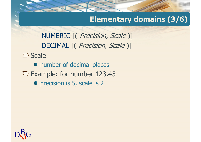#### **Elementary domains (3/6)**

NUMERIC [( *Precision, Scale* )] DECIMAL [( *Precision, Scale* )]

 $\sum$  Scale

• number of decimal places  $\Sigma$  Example: for number 123.45

• precision is 5, scale is 2

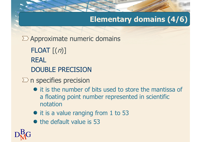### **Elementary domains (4/6)**

 $\Sigma$  Approximate numeric domains

 $\mathsf{FLOAT}\left[ \left( n\right) \right]$ REALDOUBLE PRECISION

- $\Sigma$  n specifies precision
	- it is the number of bits used to store the mantissa of a floating point number represented in scientific notation
	- it is a value ranging from 1 to 53
	- $\bullet$  the default value is 53

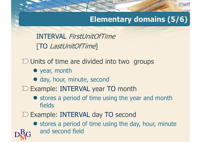### **Elementary domains (5/6)**

INTERVAL FirstUnitOfTime[TO LastUnitOfTime]

 $\Sigma$  Units of time are divided into two groups

• year, month

 $\mathrm{D}^\mathrm{B}_\mathrm{M}$ G

- day, hour, minute, second
- Example: INTERVAL year TO month
	- stores a period of time using the year and month fields
- Example: INTERVAL day TO second
	- stores a period of time using the day, hour, minute and second field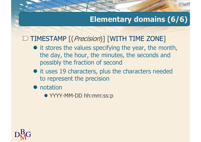### **Elementary domains (6/6)**

# TIMESTAMP [(*Precision*)] [WITH TIME ZONE]

- it stores the values specifying the year, the month, the day, the hour, the minutes, the seconds and possibly the fraction of second
- $\bullet$  it uses 19 characters, plus the characters needed to represent the precision

• notation

YYYY-MM-DD hh:mm:ss:p

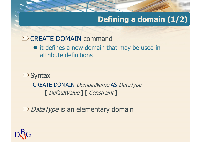### **Defining a domain (1/2)**

# CREATE DOMAIN command

• it defines a new domain that may be used in attribute definitions

 $\sum$  Syntax CREATE DOMAIN *DomainName* AS *DataType* [ DefaultValue ] [ Constraint ]

*DataType* is an elementary domain

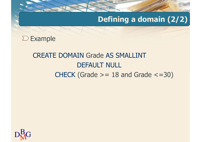### **Defining a domain (2/2)**

 $\Sigma$  Example

# CREATE DOMAIN Grade AS SMALLINT DEFAULT NULL  $CHECK$  (Grade  $>= 18$  and Grade  $<= 30$ )

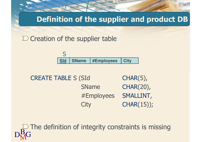#### **Definition of the supplier and product DB**

 $\Sigma$  Creation of the supplier table



**CREATE TABLE S (SId)**  $CHAR(5)$ , SName CHAR(20), #Employees SMALLINT,**City** CHAR(15));

 $\mathrm{D}^\mathrm{B}_\mathrm{M}$ G The definition of integrity constraints is missing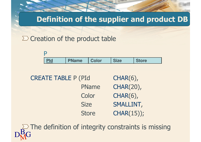#### **Definition of the supplier and product DB**

#### $\sum$  Creation of the product table



| <b>CREATE TABLE P (PId</b> |              | $CHAR(6)$ ,      |  |
|----------------------------|--------------|------------------|--|
|                            | <b>PName</b> | CHAR(20),        |  |
|                            | Color        | $CHAR(6)$ ,      |  |
|                            | <b>Size</b>  | <b>SMALLINT,</b> |  |
|                            | <b>Store</b> | CHAR(15));       |  |
|                            |              |                  |  |

 $\mathrm{D}^\mathrm{B}_\mathrm{M}$ G  $\supseteq$  The definition of integrity constraints is missing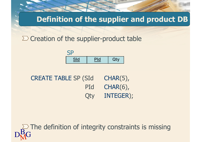#### **Definition of the supplier and product DB**

#### $\Sigma$  Creation of the supplier-product table



| <b>CREATE TABLE SP (SId)</b> | $CHAR(5)$ , |
|------------------------------|-------------|
| PId                          | $CHAR(6)$ , |
| Qty                          | INTEGER);   |

 $\mathrm{D}^\mathrm{B}_\mathrm{M}$ G  $\supseteq$  The definition of integrity constraints is missing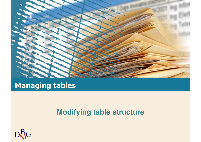

### **Managing tables**

#### **Modifying table structure**

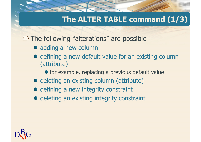### **The ALTER TABLE command (1/3)**

 $\Sigma$  The following "alterations" are possible

- adding a new column
- defining a new default value for an existing column (attribute)
	- **•** for example, replacing a previous default value
- deleting an existing column (attribute)
- $\bullet$  defining a new integrity constraint
- deleting an existing integrity constraint

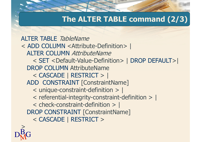### **The ALTER TABLE command (2/3)**

ALTER TABLE TableName < ADD COLUMN <Attribute-Definition> | ALTER COLUMN AttributeName < SET <Default-Value-Definition> | DROP DEFAULT>| DROP COLUMN AttributeName < CASCADE | RESTRICT > | ADD CONSTRAINT [ConstraintName] < unique-constraint-definition > | < referential-integrity-constraint-definition > | < check-constraint-definition > |DROP CONSTRAINT [ConstraintName] < CASCADE | RESTRICT <sup>&</sup>gt;

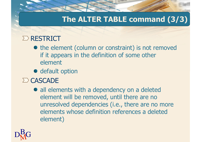### **The ALTER TABLE command (3/3)**

### $\sum$  RESTRICT

- the element (column or constraint) is not removed if it appears in the definition of some other element
- $\bullet$  default option

#### $\sum$  CASCADE

 all elements with a dependency on a deleted element will be removed, until there are no unresolved dependencies (i.e., there are no more elements whose definition references a deleted element)

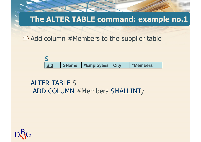### **The ALTER TABLE command: example no.1**

 $\sum$  Add column #Members to the supplier table



# ALTER TABLE <sup>S</sup> ADD COLUMN #Members SMALLINT;

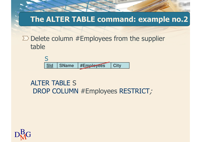### **The ALTER TABLE command: example no.2**

#### $\Sigma$  Delete column #Employees from the supplier table



# ALTER TABLE <sup>S</sup> DROP COLUMN #Employees RESTRICT;

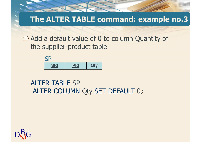### **The ALTER TABLE command: example no.3**

 $\sum$  Add a default value of 0 to column Quantity of the supplier-product table



# ALTER TABLE SP ALTER COLUMN Qty SET DEFAULT 0;

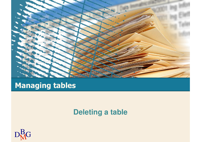

### **Managing tables**

#### **Deleting a table**

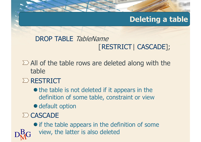### **Deleting a table**

### DROP TABLE TableName [RESTRICT| CASCADE];

 $\sum$  All of the table rows are deleted along with the table

#### $\sum$  RESTRICT

- the table is not deleted if it appears in the definition of some table, constraint or view
- **·** default option
- $\Sigma$  CASCADE

 $\mathrm{D}^\mathrm{B}_\mathrm{M}$ G

 if the table appears in the definition of some view, the latter is also deleted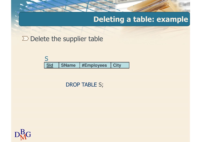### **Deleting a table: example**

 $\Sigma$  Delete the supplier table

| <b>Sld</b> | <b>SName</b> | #Employees | City |
|------------|--------------|------------|------|

DROP TABLE S;

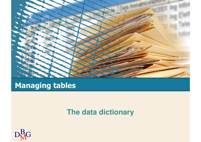

### **Managing tables**

#### **The data dictionary**

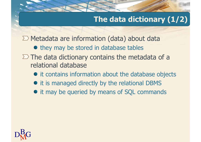### **The data dictionary (1/2)**

 $\sum$  Metadata are information (data) about data

- they may be stored in database tables
- $\Sigma$  The data dictionary contains the metadata of a relational database
	- $\bullet$  it contains information about the database objects
	- $\bullet$  it is managed directly by the relational DBMS
	- it may be queried by means of SQL commands

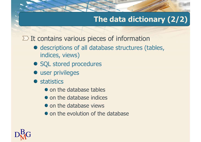### **The data dictionary (2/2)**

 $\Sigma$  It contains various pieces of information

- descriptions of all database structures (tables, indices, views)
- SQL stored procedures
- $\bullet$  user privileges
- **•** statistics
	- on the database tables
	- on the database indices
	- on the database views
	- on the evolution of the database

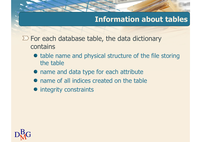### **Information about tables**

 $\Sigma$  For each database table, the data dictionary contains

- table name and physical structure of the file storing the table
- name and data type for each attribute
- name of all indices created on the table
- **•** integrity constraints

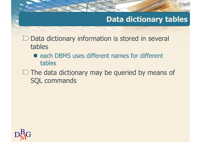### **Data dictionary tables**

 $\Sigma$  Data dictionary information is stored in several tables

- each DBMS uses different names for different tables
- $\Sigma$  The data dictionary may be queried by means of SQL commands

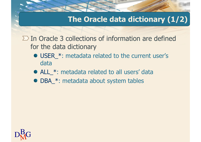### **The Oracle data dictionary (1/2)**

 $\Sigma$  In Oracle 3 collections of information are defined for the data dictionary

- USER \*: metadata related to the current user's data
- ALL \*: metadata related to all users' data
- DBA\_\*: metadata about system tables

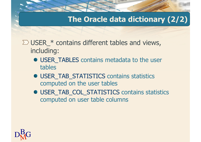## **The Oracle data dictionary (2/2)**

- $\Sigma$  USER  $*$  contains different tables and views, including:
	- USER\_TABLES contains metadata to the user tables
	- USER\_TAB\_STATISTICS contains statistics computed on the user tables
	- USER\_TAB\_COL\_STATISTICS contains statistics computed on user table columns

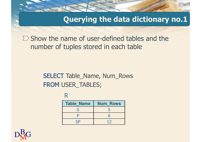### **Querying the data dictionary no.1**

 $\sum$  Show the name of user-defined tables and the number of tuples stored in each table

# SELECT Table\_Name, Num\_Rows FROM USER\_TABLES;

R

| <b>Table Name</b> | <b>Num Rows</b> |
|-------------------|-----------------|
| S                 |                 |
| P                 | 6               |
| <b>SP</b>         | 12              |
|                   |                 |

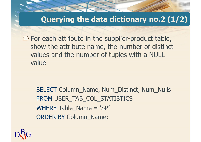### **Querying the data dictionary no.2 (1/2)**

 $\sum$  For each attribute in the supplier-product table, show the attribute name, the number of distinct values and the number of tuples with a NULL value

SELECT Column\_Name, Num\_Distinct, Num\_Nulls FROM USER\_TAB\_COL\_STATISTICS WHERE Table\_Name = 'SP' ORDER BY Column\_Name;

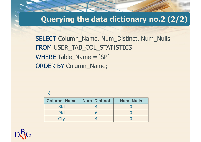### **Querying the data dictionary no.2 (2/2)**

SELECT Column\_Name, Num\_Distinct, Num\_Nulls FROM USER\_TAB\_COL\_STATISTICS WHERE Table\_Name = 'SP' ORDER BY Column\_Name;

### R

| <b>Column Name</b> | <b>Num Distinct</b> | <b>Num Nulls</b> |
|--------------------|---------------------|------------------|
| SId                |                     |                  |
| PId                |                     |                  |
|                    |                     |                  |
|                    |                     |                  |

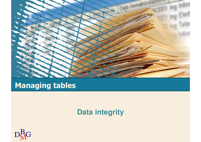

# **Managing tables**

### **Data integrity**

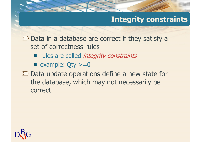## **Integrity constraints**

 $\Sigma$  Data in a database are correct if they satisfy a set of correctness rules

- rules are called *integrity constraints*
- example:  $Qty >= 0$
- $\Sigma$  Data update operations define a new state for the database, which may not necessarily be correct

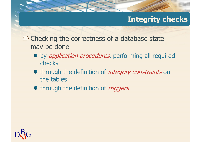# **Integrity checks**

 $\Sigma$  Checking the correctness of a database state may be done

- by *application procedures*, performing all required checks
- through the definition of *integrity constraints* on the tables
- through the definition of *triggers*

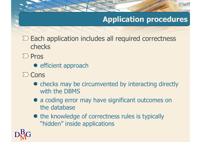# **Application procedures**

 $\Sigma$  Each application includes all required correctness checks

- $\sum$  Pros
	- **e** efficient approach
- $\sum$  Cons
	- checks may be circumvented by interacting directly with the DBMS
	- a coding error may have significant outcomes on the database
	- the knowledge of correctness rules is typically "hidden" inside applications

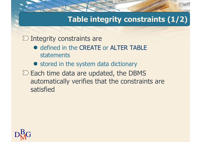## **Table integrity constraints (1/2)**

 $\Sigma$  Integrity constraints are

- defined in the CREATE or ALTER TABLE statements
- **•** stored in the system data dictionary
- $\Sigma$  Each time data are updated, the DBMS automatically verifies that the constraints are satisfied

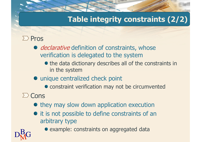# **Table integrity constraints (2/2)**

### $\sum$  Pros

- declarative definition of constraints, whose verification is delegated to the system
	- the data dictionary describes all of the constraints in in the system
- unique centralized check point
	- constraint verification may not be circumvented

### $\sum$  Cons

- $\bullet$  they may slow down application execution
- $\bullet$  it is not possible to define constraints of an arbitrary type
- $\mathrm{D}^\mathrm{B}_\mathrm{M}$ G
- example: constraints on aggregated data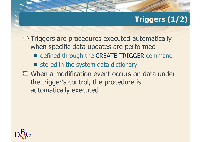# **Triggers (1/2)**

 $\Sigma$  Triggers are procedures executed automatically when specific data updates are performed

- defined through the CREATE TRIGGER command
- stored in the system data dictionary
- $\Sigma$  When a modification event occurs on data under the trigger's control, the procedure is automatically executed

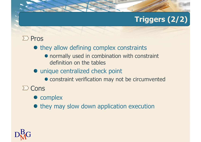# **Triggers (2/2)**

### $\sum$  Pros

- $\bullet$  they allow defining complex constraints
	- normally used in combination with constraint definition on the tables

### • unique centralized check point

- $\bullet$  constraint verification may not be circumvented
- $\sum$  Cons
	- complex
	- $\bullet$  they may slow down application execution

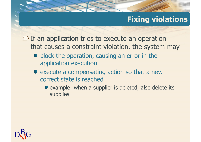# **Fixing violations**

 $\Sigma$  If an application tries to execute an operation that causes a constraint violation, the system may

- block the operation, causing an error in the application execution
- execute a compensating action so that a new correct state is reached
	- example: when a supplier is deleted, also delete its supplies

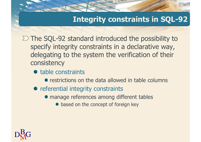### **Integrity constraints in SQL-92**

 $\Sigma$  The SQL-92 standard introduced the possibility to specify integrity constraints in a declarative way,delegating to the system the verification of their consistency

- table constraints
	- restrictions on the data allowed in table columns
- referential integrity constraints
	- manage references among different tables
		- based on the concept of foreign key

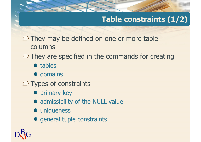# **Table constraints (1/2)**

- $\Sigma$  They may be defined on one or more table columns
- $\Sigma$  They are specified in the commands for creating
	- tables
	- **•** domains
- $\Sigma$  Types of constraints
	- **•** primary key
	- admissibility of the NULL value
	- $\bullet$  uniqueness
	- general tuple constraints

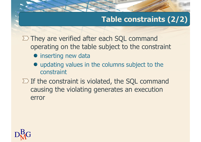# **Table constraints (2/2)**

 $\Sigma$  They are verified after each SQL command operating on the table subject to the constraint

- $\bullet$  inserting new data
- updating values in the columns subject to the constraint
- $\Sigma$  If the constraint is violated, the SQL command causing the violating generates an execution error

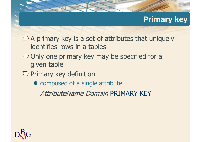### **Primary key**

- $\sum$  A primary key is a set of attributes that uniquely identifies rows in a tables
- $\Sigma$  Only one primary key may be specified for a given table
- $\Sigma$  Primary key definition
	- composed of a single attribute

AttributeName Domain PRIMARY KEY

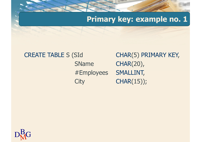### **Primary key: example no. 1**

# **CREATE TABLE S (SId)** SName**City**

CHAR(5) PRIMARY KEY, CHAR(20), #Employees SMALLINT,CHAR(15));

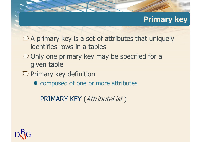### **Primary key**

- $\sum$  A primary key is a set of attributes that uniquely identifies rows in a tables
- $\Sigma$  Only one primary key may be specified for a given table
- $\Sigma$  Primary key definition
	- $\bullet$  composed of one or more attributes

PRIMARY KEY (*AttributeList* )

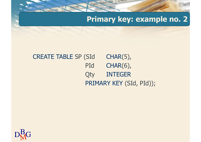### **Primary key: example no. 2**

#### **CREATE TABLE SP (SId)**  $CHAR(5)$ , PId CHAR(6), **Qty**  INTEGERPRIMARY KEY (SId, PId));

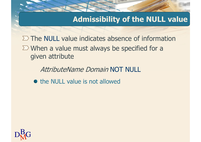### **Admissibility of the NULL value**

The NULL value indicates absence of information $\sum$  When a value must always be specified for a given attribute

AttributeName Domain NOT NULL

• the NULL value is not allowed

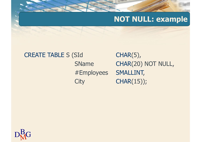### **NOT NULL: example**

# **CREATE TABLE S (SId)** SName**City**

 $CHAR(5)$ , CHAR(20) NOT NULL, #Employees SMALLINT,CHAR(15));

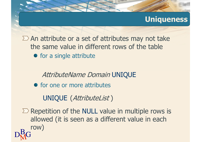### **Uniqueness**

 $\sum$  An attribute or a set of attributes may not take the same value in different rows of the table• for a single attribute

AttributeName Domain UNIQUE

• for one or more attributes

UNIQUE (AttributeList )

 $\mathrm{D}^\mathrm{B}_\mathrm{M}$ G Repetition of the NULL value in multiple rows is allowed (it is seen as a different value in each row)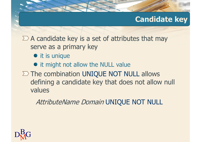### **Candidate key**

 $\Sigma$  A candidate key is a set of attributes that may serve as a primary key

- it is unique
- it might not allow the NULL value
- $\Sigma$  The combination UNIQUE NOT NULL allows defining a candidate key that does not allow null values

AttributeName Domain UNIQUE NOT NULL

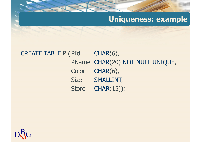### **Uniqueness: example**

#### CREATE TABLE P (PId  $CHAR(6)$ , PName CHAR(20) NOT NULL UNIQUE, **Color**  CHAR(6), **Size**  SMALLINT, **Store** CHAR(15));

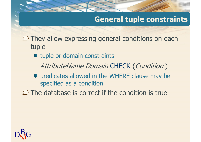### **General tuple constraints**

 $\Sigma$  They allow expressing general conditions on each tuple

 $\bullet$  tuple or domain constraints

AttributeName Domain CHECK (Condition )

**•** predicates allowed in the WHERE clause may be specified as a condition

 $\Sigma$  The database is correct if the condition is true

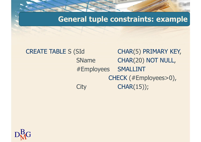**General tuple constraints: example**

### **CREATE TABLE S (SId)** CHAR(5) PRIMARY KEY, SName CHAR(20) NOT NULL, #Employees SMALLINT CHECK (#Employees>0),**City** CHAR(15));

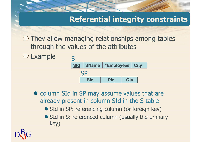## **Referential integrity constraints**

 $\Sigma$  They allow managing relationships among tables through the values of the attributes





- column SId in SP may assume values that are already present in column SId in the S table
	- SId in SP: referencing column (or foreign key)
	- SId in S: referenced column (usually the primary key)

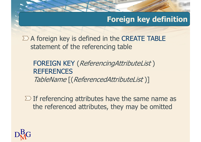### **Foreign key definition**

 $\Sigma$  A foreign key is defined in the CREATE TABLE statement of the referencing table

FOREIGN KEY (*ReferencingAttributeList*) **REFERENCES** TableName [(ReferencedAttributeList )]

 $\Sigma$  If referencing attributes have the same name as the referenced attributes, they may be omitted

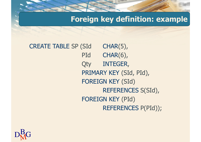### **Foreign key definition: example**

**CREATE TABLE SP (SId)**  $CHAR(5)$ , PId CHAR(6), **Qty**  INTEGER, PRIMARY KEY (SId, PId), FOREIGN KEY (SId) REFERENCES S(SId), FOREIGN KEY (PId) REFERENCES P(PId));

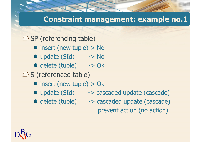### **Constraint management: example no.1**

 $\Sigma$  SP (referencing table)

- insert (new tuple)-> No
- update (SId) -> No
- delete (tuple) -> Ok
- $\Sigma$  S (referenced table)
	- insert (new tuple)-> Ok
	- update (SId) -> cascaded update (cascade)
	- delete (tuple) -> cascaded update (cascade) prevent action (no action)

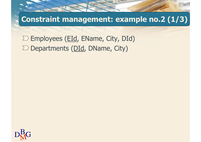**Constraint management: example no.2 (1/3)**

 $\Sigma$  Employees (EId, EName, City, DId)  $\Sigma$  Departments (DId, DName, City)

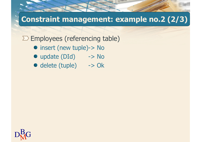# **Constraint management: example no.2 (2/3)**

 $\Sigma$  Employees (referencing table)

- insert (new tuple)-> No
- update (DId) -> No
- delete (tuple) -> Ok

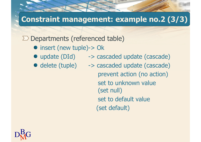# **Constraint management: example no.2 (3/3)**

 $\Sigma$  Departments (referenced table)

- insert (new tuple)-> Ok
- 
- 
- update (DId) -> cascaded update (cascade)
- delete (tuple) -> cascaded update (cascade) prevent action (no action) set to unknown value (set null) set to default value(set default)

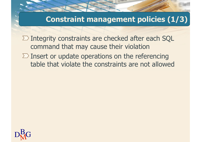### **Constraint management policies (1/3)**

 $\Sigma$  Integrity constraints are checked after each SQL command that may cause their violation $\Sigma$  Insert or update operations on the referencing table that violate the constraints are not allowed

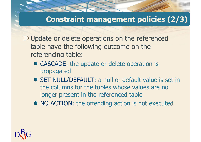### **Constraint management policies (2/3)**

 $\Sigma$  Update or delete operations on the referenced table have the following outcome on the referencing table:

- CASCADE: the update or delete operation is propagated
- SET NULL/DEFAULT: a null or default value is set in the columns for the tuples whose values are no longer present in the referenced table
- NO ACTION: the offending action is not executed

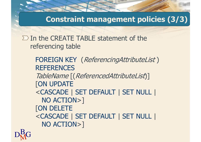**Constraint management policies (3/3)**

 $\Sigma$  In the CREATE TABLE statement of the referencing table

> FOREIGN KEY (*ReferencingAttributeList*) **REFERENCES**  TableName [(ReferencedAttributeList)][ON UPDATE <CASCADE | SET DEFAULT | SET NULL | NO ACTION>][ON DELETE <CASCADE | SET DEFAULT | SET NULL | NO ACTION>]

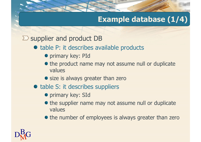# **Example database (1/4)**

 $\sum$  supplier and product DB

- table P: it describes available products
	- **•** primary key: PId
	- the product name may not assume null or duplicate values
	- size is always greater than zero
- table S: it describes suppliers
	- **•** primary key: SId
	- the supplier name may not assume null or duplicate values
	- the number of employees is always greater than zero

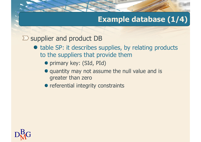## **Example database (1/4)**

 $\sum$  supplier and product DB

- table SP: it describes supplies, by relating products to the suppliers that provide them
	- primary key: (SId, PId)
	- quantity may not assume the null value and is greater than zero
	- referential integrity constraints

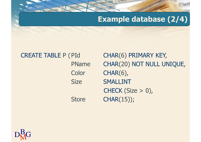### **Example database (2/4)**

CREATE TABLE P (PId PName**Color Size** 

**Store** 

CHAR(6) PRIMARY KEY, CHAR(20) NOT NULL UNIQUE, CHAR(6), SMALLINT CHECK (Size > 0),CHAR(15));

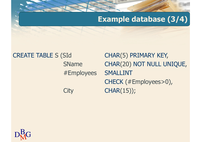### **Example database (3/4)**

#### **CREATE TABLE S (SId)** CHAR(5) PRIMARY KEY, SName CHAR(20) NOT NULL UNIQUE, #Employees SMALLINT CHECK (#Employees>0),**City** CHAR(15));